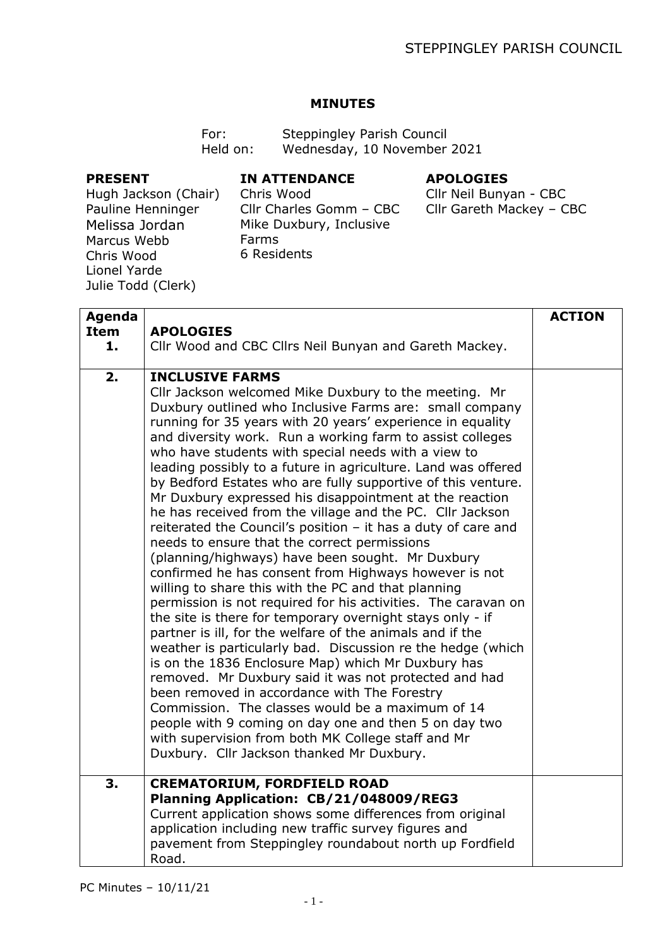## **MINUTES**

| For:     | Steppingley Parish Council  |
|----------|-----------------------------|
| Held on: | Wednesday, 10 November 2021 |

## **PRESENT**

#### **IN ATTENDANCE**

# **APOLOGIES**

Hugh Jackson (Chair) Pauline Henninger Melissa Jordan Marcus Webb Chris Wood Lionel Yarde Julie Todd (Clerk)

Chris Wood Cllr Charles Gomm – CBC Mike Duxbury, Inclusive Farms 6 Residents

# Cllr Neil Bunyan - CBC Cllr Gareth Mackey – CBC

| Agenda            |                                                                                                                                                                                                                                                                                                                                                                                                                                                                                                                                                                                                                                                                                                                                                                                                                                                                                                                                                                                                                                                                                                                                                                                                                                                                                                                                                                                                                                                                                                                       | <b>ACTION</b> |
|-------------------|-----------------------------------------------------------------------------------------------------------------------------------------------------------------------------------------------------------------------------------------------------------------------------------------------------------------------------------------------------------------------------------------------------------------------------------------------------------------------------------------------------------------------------------------------------------------------------------------------------------------------------------------------------------------------------------------------------------------------------------------------------------------------------------------------------------------------------------------------------------------------------------------------------------------------------------------------------------------------------------------------------------------------------------------------------------------------------------------------------------------------------------------------------------------------------------------------------------------------------------------------------------------------------------------------------------------------------------------------------------------------------------------------------------------------------------------------------------------------------------------------------------------------|---------------|
| <b>Item</b><br>1. | <b>APOLOGIES</b><br>Cllr Wood and CBC Cllrs Neil Bunyan and Gareth Mackey.                                                                                                                                                                                                                                                                                                                                                                                                                                                                                                                                                                                                                                                                                                                                                                                                                                                                                                                                                                                                                                                                                                                                                                                                                                                                                                                                                                                                                                            |               |
|                   |                                                                                                                                                                                                                                                                                                                                                                                                                                                                                                                                                                                                                                                                                                                                                                                                                                                                                                                                                                                                                                                                                                                                                                                                                                                                                                                                                                                                                                                                                                                       |               |
| 2.                | <b>INCLUSIVE FARMS</b><br>Cllr Jackson welcomed Mike Duxbury to the meeting. Mr<br>Duxbury outlined who Inclusive Farms are: small company<br>running for 35 years with 20 years' experience in equality<br>and diversity work. Run a working farm to assist colleges<br>who have students with special needs with a view to<br>leading possibly to a future in agriculture. Land was offered<br>by Bedford Estates who are fully supportive of this venture.<br>Mr Duxbury expressed his disappointment at the reaction<br>he has received from the village and the PC. Cllr Jackson<br>reiterated the Council's position $-$ it has a duty of care and<br>needs to ensure that the correct permissions<br>(planning/highways) have been sought. Mr Duxbury<br>confirmed he has consent from Highways however is not<br>willing to share this with the PC and that planning<br>permission is not required for his activities. The caravan on<br>the site is there for temporary overnight stays only - if<br>partner is ill, for the welfare of the animals and if the<br>weather is particularly bad. Discussion re the hedge (which<br>is on the 1836 Enclosure Map) which Mr Duxbury has<br>removed. Mr Duxbury said it was not protected and had<br>been removed in accordance with The Forestry<br>Commission. The classes would be a maximum of 14<br>people with 9 coming on day one and then 5 on day two<br>with supervision from both MK College staff and Mr<br>Duxbury. Cllr Jackson thanked Mr Duxbury. |               |
| 3.                | <b>CREMATORIUM, FORDFIELD ROAD</b><br>Planning Application: CB/21/048009/REG3<br>Current application shows some differences from original                                                                                                                                                                                                                                                                                                                                                                                                                                                                                                                                                                                                                                                                                                                                                                                                                                                                                                                                                                                                                                                                                                                                                                                                                                                                                                                                                                             |               |
|                   | application including new traffic survey figures and<br>pavement from Steppingley roundabout north up Fordfield<br>Road.                                                                                                                                                                                                                                                                                                                                                                                                                                                                                                                                                                                                                                                                                                                                                                                                                                                                                                                                                                                                                                                                                                                                                                                                                                                                                                                                                                                              |               |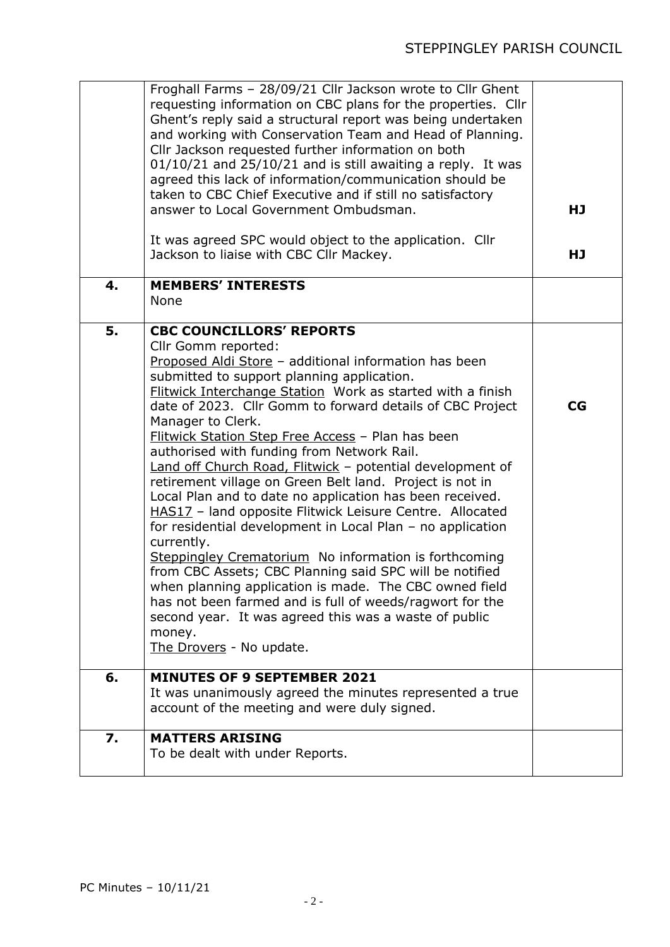|    | Froghall Farms - 28/09/21 Cllr Jackson wrote to Cllr Ghent<br>requesting information on CBC plans for the properties. Cllr<br>Ghent's reply said a structural report was being undertaken<br>and working with Conservation Team and Head of Planning.<br>Cllr Jackson requested further information on both<br>$01/10/21$ and $25/10/21$ and is still awaiting a reply. It was<br>agreed this lack of information/communication should be<br>taken to CBC Chief Executive and if still no satisfactory<br>answer to Local Government Ombudsman.<br>It was agreed SPC would object to the application. Cllr                                                                                                                                                                                                                                                                                                                                                                                                                                                                             | HJ |
|----|----------------------------------------------------------------------------------------------------------------------------------------------------------------------------------------------------------------------------------------------------------------------------------------------------------------------------------------------------------------------------------------------------------------------------------------------------------------------------------------------------------------------------------------------------------------------------------------------------------------------------------------------------------------------------------------------------------------------------------------------------------------------------------------------------------------------------------------------------------------------------------------------------------------------------------------------------------------------------------------------------------------------------------------------------------------------------------------|----|
|    | Jackson to liaise with CBC Cllr Mackey.                                                                                                                                                                                                                                                                                                                                                                                                                                                                                                                                                                                                                                                                                                                                                                                                                                                                                                                                                                                                                                                | HJ |
| 4. | <b>MEMBERS' INTERESTS</b><br>None                                                                                                                                                                                                                                                                                                                                                                                                                                                                                                                                                                                                                                                                                                                                                                                                                                                                                                                                                                                                                                                      |    |
| 5. | <b>CBC COUNCILLORS' REPORTS</b><br>Cllr Gomm reported:<br>Proposed Aldi Store - additional information has been<br>submitted to support planning application.<br>Flitwick Interchange Station Work as started with a finish<br>date of 2023. Cllr Gomm to forward details of CBC Project<br>Manager to Clerk.<br>Flitwick Station Step Free Access - Plan has been<br>authorised with funding from Network Rail.<br>Land off Church Road, Flitwick - potential development of<br>retirement village on Green Belt land. Project is not in<br>Local Plan and to date no application has been received.<br>HAS17 - land opposite Flitwick Leisure Centre. Allocated<br>for residential development in Local Plan - no application<br>currently.<br>Steppingley Crematorium No information is forthcoming<br>from CBC Assets; CBC Planning said SPC will be notified<br>when planning application is made. The CBC owned field<br>has not been farmed and is full of weeds/ragwort for the<br>second year. It was agreed this was a waste of public<br>money.<br>The Drovers - No update. | CG |
| 6. | <b>MINUTES OF 9 SEPTEMBER 2021</b><br>It was unanimously agreed the minutes represented a true<br>account of the meeting and were duly signed.                                                                                                                                                                                                                                                                                                                                                                                                                                                                                                                                                                                                                                                                                                                                                                                                                                                                                                                                         |    |
| 7. | <b>MATTERS ARISING</b><br>To be dealt with under Reports.                                                                                                                                                                                                                                                                                                                                                                                                                                                                                                                                                                                                                                                                                                                                                                                                                                                                                                                                                                                                                              |    |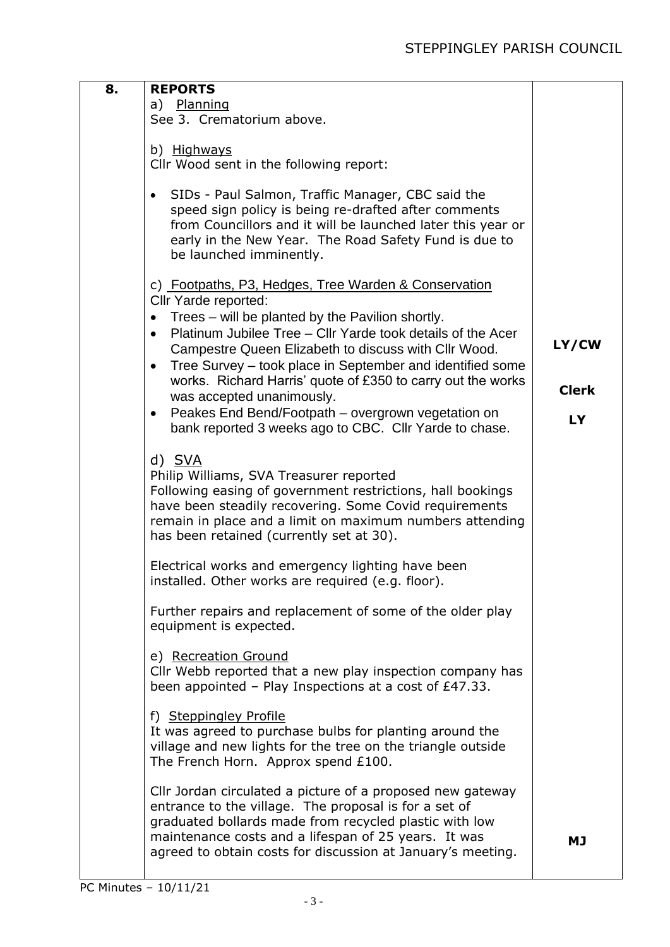| 8. | <b>REPORTS</b><br>a) Planning<br>See 3. Crematorium above.                                                                                                                                                                                                                                                                                                                                                                                                                                                                                                                           |                                    |
|----|--------------------------------------------------------------------------------------------------------------------------------------------------------------------------------------------------------------------------------------------------------------------------------------------------------------------------------------------------------------------------------------------------------------------------------------------------------------------------------------------------------------------------------------------------------------------------------------|------------------------------------|
|    | b) Highways<br>Cllr Wood sent in the following report:                                                                                                                                                                                                                                                                                                                                                                                                                                                                                                                               |                                    |
|    | SIDs - Paul Salmon, Traffic Manager, CBC said the<br>$\bullet$<br>speed sign policy is being re-drafted after comments<br>from Councillors and it will be launched later this year or<br>early in the New Year. The Road Safety Fund is due to<br>be launched imminently.                                                                                                                                                                                                                                                                                                            |                                    |
|    | c) Footpaths, P3, Hedges, Tree Warden & Conservation<br>Cllr Yarde reported:<br>Trees – will be planted by the Pavilion shortly.<br>$\bullet$<br>Platinum Jubilee Tree - Cllr Yarde took details of the Acer<br>$\bullet$<br>Campestre Queen Elizabeth to discuss with Cllr Wood.<br>Tree Survey – took place in September and identified some<br>$\bullet$<br>works. Richard Harris' quote of £350 to carry out the works<br>was accepted unanimously.<br>Peakes End Bend/Footpath – overgrown vegetation on<br>$\bullet$<br>bank reported 3 weeks ago to CBC. Cllr Yarde to chase. | LY/CW<br><b>Clerk</b><br><b>LY</b> |
|    | d) SVA<br>Philip Williams, SVA Treasurer reported<br>Following easing of government restrictions, hall bookings<br>have been steadily recovering. Some Covid requirements<br>remain in place and a limit on maximum numbers attending<br>has been retained (currently set at 30).                                                                                                                                                                                                                                                                                                    |                                    |
|    | Electrical works and emergency lighting have been<br>installed. Other works are required (e.g. floor).                                                                                                                                                                                                                                                                                                                                                                                                                                                                               |                                    |
|    | Further repairs and replacement of some of the older play<br>equipment is expected.                                                                                                                                                                                                                                                                                                                                                                                                                                                                                                  |                                    |
|    | e) Recreation Ground<br>Cllr Webb reported that a new play inspection company has<br>been appointed $-$ Play Inspections at a cost of £47.33.                                                                                                                                                                                                                                                                                                                                                                                                                                        |                                    |
|    | f) Steppingley Profile<br>It was agreed to purchase bulbs for planting around the<br>village and new lights for the tree on the triangle outside<br>The French Horn. Approx spend £100.                                                                                                                                                                                                                                                                                                                                                                                              |                                    |
|    | Cllr Jordan circulated a picture of a proposed new gateway<br>entrance to the village. The proposal is for a set of<br>graduated bollards made from recycled plastic with low<br>maintenance costs and a lifespan of 25 years. It was<br>agreed to obtain costs for discussion at January's meeting.                                                                                                                                                                                                                                                                                 | МJ                                 |